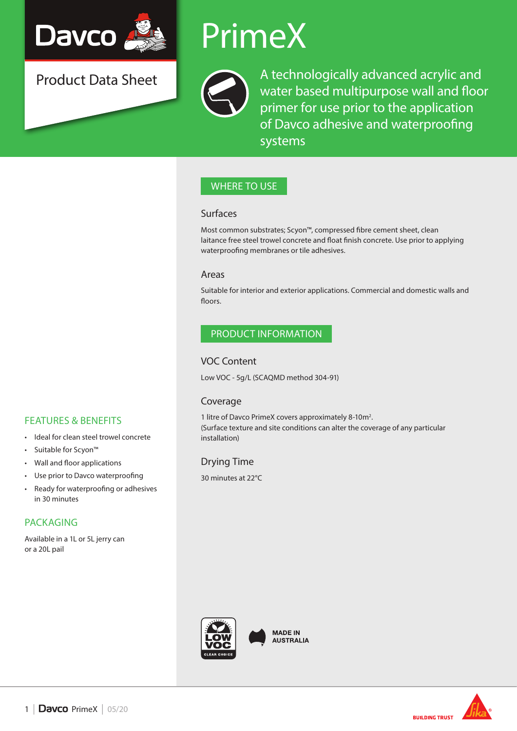

Product Data Sheet

## PrimeX



A technologically advanced acrylic and water based multipurpose wall and floor primer for use prior to the application of Davco adhesive and waterproofing systems

## WHERE TO USE

#### Surfaces

Most common substrates; Scyon™, compressed fibre cement sheet, clean laitance free steel trowel concrete and float finish concrete. Use prior to applying waterproofing membranes or tile adhesives.

#### Areas

Suitable for interior and exterior applications. Commercial and domestic walls and floors.

### PRODUCT INFORMATION

#### VOC Content

Low VOC - 5g/L (SCAQMD method 304-91)

### Coverage

1 litre of Davco PrimeX covers approximately 8-10m2 . (Surface texture and site conditions can alter the coverage of any particular installation)

## Drying Time

30 minutes at 22°C



**MADE IN AUSTRALIA** 

# **BUILDING TRUST**

## FEATURES & BENEFITS

- Ideal for clean steel trowel concrete
- Suitable for Scyon™
- Wall and floor applications
- Use prior to Davco waterproofing
- Ready for waterproofing or adhesives in 30 minutes

## PACKAGING

Available in a 1L or 5L jerry can or a 20L pail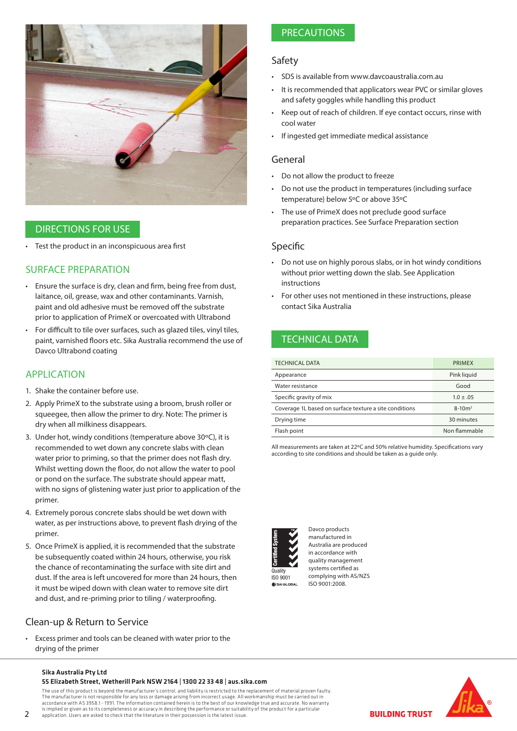

#### DIRECTIONS FOR USE

• Test the product in an inconspicuous area first

#### SURFACE PREPARATION

- Ensure the surface is dry, clean and firm, being free from dust, laitance, oil, grease, wax and other contaminants. Varnish, paint and old adhesive must be removed off the substrate prior to application of PrimeX or overcoated with Ultrabond
- For difficult to tile over surfaces, such as glazed tiles, vinyl tiles, paint, varnished floors etc. Sika Australia recommend the use of Davco Ultrabond coating

#### APPLICATION

- 1. Shake the container before use.
- 2. Apply PrimeX to the substrate using a broom, brush roller or squeegee, then allow the primer to dry. Note: The primer is dry when all milkiness disappears.
- 3. Under hot, windy conditions (temperature above 30ºC), it is recommended to wet down any concrete slabs with clean water prior to priming, so that the primer does not flash dry. Whilst wetting down the floor, do not allow the water to pool or pond on the surface. The substrate should appear matt, with no signs of glistening water just prior to application of the primer.
- 4. Extremely porous concrete slabs should be wet down with water, as per instructions above, to prevent flash drying of the primer.
- 5. Once PrimeX is applied, it is recommended that the substrate be subsequently coated within 24 hours, otherwise, you risk the chance of recontaminating the surface with site dirt and dust. If the area is left uncovered for more than 24 hours, then it must be wiped down with clean water to remove site dirt and dust, and re-priming prior to tiling / waterproofing.

### Clean-up & Return to Service

• Excess primer and tools can be cleaned with water prior to the drying of the primer

## PRECAUTIONS

#### Safety

- SDS is available from www.davcoaustralia.com.au
- It is recommended that applicators wear PVC or similar gloves and safety goggles while handling this product
- Keep out of reach of children. If eye contact occurs, rinse with cool water
- If ingested get immediate medical assistance

#### General

- Do not allow the product to freeze
- Do not use the product in temperatures (including surface temperature) below 5ºC or above 35ºC
- The use of PrimeX does not preclude good surface preparation practices. See Surface Preparation section

#### Specific

- Do not use on highly porous slabs, or in hot windy conditions without prior wetting down the slab. See Application instructions
- For other uses not mentioned in these instructions, please contact Sika Australia

## TECHNICAL DATA

| <b>TECHNICAL DATA</b>                                  | PRIMEX        |
|--------------------------------------------------------|---------------|
| Appearance                                             | Pink liquid   |
| Water resistance                                       | Good          |
| Specific gravity of mix                                | $1.0 \pm .05$ |
| Coverage 1L based on surface texture a site conditions | $8 - 10m^2$   |
| Drying time                                            | 30 minutes    |
| Flash point                                            | Non flammable |

All measurements are taken at 22ºC and 50% relative humidity. Specifications vary according to site conditions and should be taken as a guide only.



Davco products manufactured in Australia are produced in accordance with quality management systems certified as complying with AS/NZS ISO 9001:2008.



#### Sika Australia Pty Ltd 55 Elizabeth Street, Wetherill Park NSW 2164 | 1300 22 33 48 | aus.sika.com

The use of this product is beyond the manufacturer's control, and liability is restricted to the replacement of material proven faulty.

The manufacturer is not responsible for any loss or damage arising from incorrect usage. All workmanship must be carried out in accordance with AS 3958.1 - 1991. The information contained herein is to the best of our knowledge true and accurate. No warranty<br>is implied or given as to its completeness or accuracy in describing the performance or suit application. Users are asked to check that the literature in their possession is the latest issue.

**BUILDING TRUST**